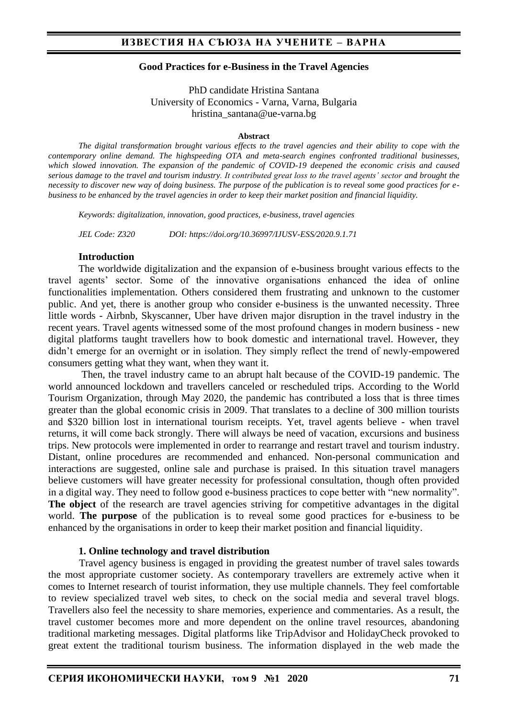#### **Good Practices for e-Business in the Travel Agencies**

PhD candidate Hristina Santana University of Economics - Varna, Varna, Bulgaria hristina\_santana@ue-varna.bg

#### **Abstract**

*The digital transformation brought various effects to the travel agencies and their ability to cope with the contemporary online demand. The highspeeding OTA and meta-search engines confronted traditional businesses, which slowed innovation. The expansion of the pandemic of COVID-19 deepened the economic crisis and caused serious damage to the travel and tourism industry. It contributed great loss to the travel agents' sector and brought the necessity to discover new way of doing business. The purpose of the publication is to reveal some good practices for ebusiness to be enhanced by the travel agencies in order to keep their market position and financial liquidity.*

*Keywords: digitalization, innovation, good practices, e-business, travel agencies*

*JEL Code: Z320 DOI: https://doi.org/10.36997/IJUSV-ESS/2020.9.1.71*

#### **Introduction**

The worldwide digitalization and the expansion of e-business brought various effects to the travel agents' sector. Some of the innovative organisations enhanced the idea of online functionalities implementation. Others considered them frustrating and unknown to the customer public. And yet, there is another group who consider e-business is the unwanted necessity. Three little words - Airbnb, Skyscanner, Uber have driven major disruption in the travel industry in the recent years. Travel agents witnessed some of the most profound changes in modern business - new digital platforms taught travellers how to book domestic and international travel. However, they didn't emerge for an overnight or in isolation. They simply reflect the trend of newly-empowered consumers getting what they want, when they want it.

Then, the travel industry came to an abrupt halt because of the COVID-19 pandemic. The world announced lockdown and travellers canceled or rescheduled trips. According to the World Tourism Organization, through May 2020, the pandemic has contributed a loss that is three times greater than the global economic crisis in 2009. That translates to a decline of 300 million tourists and \$320 billion lost in international tourism receipts. Yet, travel agents believe - when travel returns, it will come back strongly. There will always be need of vacation, excursions and business trips. New protocols were implemented in order to rearrange and restart travel and tourism industry. Distant, online procedures are recommended and enhanced. Non-personal communication and interactions are suggested, online sale and purchase is praised. In this situation travel managers believe customers will have greater necessity for professional consultation, though often provided in a digital way. They need to follow good e-business practices to cope better with "new normality". **The object** of the research are travel agencies striving for competitive advantages in the digital world. **The purpose** of the publication is to reveal some good practices for e-business to be enhanced by the organisations in order to keep their market position and financial liquidity.

#### **1. Online technology and travel distribution**

Travel agency business is engaged in providing the greatest number of travel sales towards the most appropriate customer society. As contemporary travellers are extremely active when it comes to Internet research of tourist information, they use multiple channels. They feel comfortable to review specialized travel web sites, to check on the social media and several travel blogs. Travellers also feel the necessity to share memories, experience and commentaries. As a result, the travel customer becomes more and more dependent on the online travel resources, abandoning traditional marketing messages. Digital platforms like TripAdvisor and HolidayCheck provoked to great extent the traditional tourism business. The information displayed in the web made the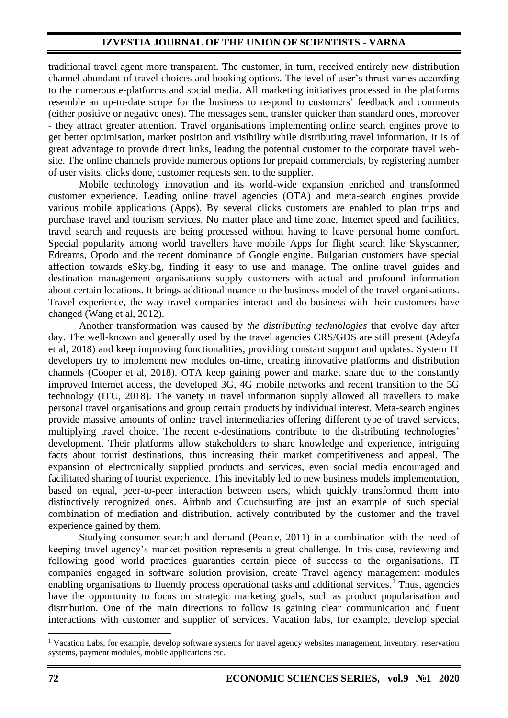## **IZVESTIA JOURNAL OF THE UNION OF SCIENTISTS - VARNA**

traditional travel agent more transparent. The customer, in turn, received entirely new distribution channel abundant of travel choices and booking options. The level of user's thrust varies according to the numerous e-platforms and social media. All marketing initiatives processed in the platforms resemble an up-to-date scope for the business to respond to customers' feedback and comments (either positive or negative ones). The messages sent, transfer quicker than standard ones, moreover - they attract greater attention. Travel organisations implementing online search engines prove to get better optimisation, market position and visibility while distributing travel information. It is of great advantage to provide direct links, leading the potential customer to the corporate travel website. The online channels provide numerous options for prepaid commercials, by registering number of user visits, clicks done, customer requests sent to the supplier.

Mobile technology innovation and its world-wide expansion enriched and transformed customer experience. Leading online travel agencies (OTA) and meta-search engines provide various mobile applications (Apps). By several clicks customers are enabled to plan trips and purchase travel and tourism services. No matter place and time zone, Internet speed and facilities, travel search and requests are being processed without having to leave personal home comfort. Special popularity among world travellers have mobile Apps for flight search like Skyscanner, Edreams, Opodo and the recent dominance of Google engine. Bulgarian customers have special affection towards eSky.bg, finding it easy to use and manage. The online travel guides and destination management organisations supply customers with actual and profound information about certain locations. It brings additional nuance to the business model of the travel organisations. Travel experience, the way travel companies interact and do business with their customers have changed (Wang et al, 2012).

Another transformation was caused by *the distributing technologies* that evolve day after day. The well-known and generally used by the travel agencies CRS/GDS are still present (Adeyfa et al, 2018) and keep improving functionalities, providing constant support and updates. System IT developers try to implement new modules on-time, creating innovative platforms and distribution channels (Cooper et al, 2018). OTA keep gaining power and market share due to the constantly improved Internet access, the developed 3G, 4G mobile networks and recent transition to the 5G technology (ITU, 2018). The variety in travel information supply allowed all travellers to make personal travel organisations and group certain products by individual interest. Meta-search engines provide massive amounts of online travel intermediaries offering different type of travel services, multiplying travel choice. The recent e-destinations contribute to the distributing technologies' development. Their platforms allow stakeholders to share knowledge and experience, intriguing facts about tourist destinations, thus increasing their market competitiveness and appeal. The expansion of electronically supplied products and services, even social media encouraged and facilitated sharing of tourist experience. This inevitably led to new business models implementation, based on equal, peer-to-peer interaction between users, which quickly transformed them into distinctively recognized ones. Airbnb and Couchsurfing are just an example of such special combination of mediation and distribution, actively contributed by the customer and the travel experience gained by them.

Studying consumer search and demand (Pearce, 2011) in a combination with the need of keeping travel agency's market position represents a great challenge. In this case, reviewing and following good world practices guaranties certain piece of success to the organisations. IT companies engaged in software solution provision, create Travel agency management modules enabling organisations to fluently process operational tasks and additional services.<sup>1</sup> Thus, agencies have the opportunity to focus on strategic marketing goals, such as product popularisation and distribution. One of the main directions to follow is gaining clear communication and fluent interactions with customer and supplier of services. Vacation labs, for example, develop special

<sup>&</sup>lt;sup>1</sup> Vacation Labs, for example, develop software systems for travel agency websites management, inventory, reservation systems, payment modules, mobile applications etc.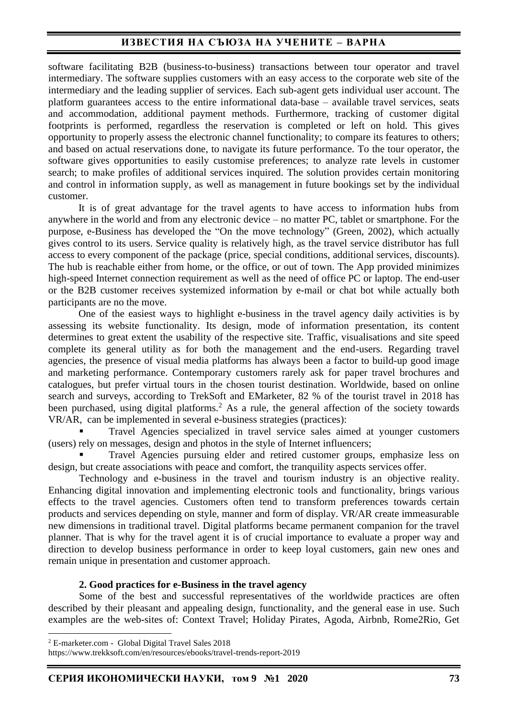## **ИЗВЕСТИЯ НА СЪЮЗА НА УЧЕНИТЕ – ВАРНА**

software facilitating B2B (business-to-business) transactions between tour operator and travel intermediary. The software supplies customers with an easy access to the corporate web site of the intermediary and the leading supplier of services. Each sub-agent gets individual user account. The platform guarantees access to the entire informational data-base – available travel services, seats and accommodation, additional payment methods. Furthermore, tracking of customer digital footprints is performed, regardless the reservation is completed or left on hold. This gives opportunity to properly assess the electronic channel functionality; to compare its features to others; and based on actual reservations done, to navigate its future performance. To the tour operator, the software gives opportunities to easily customise preferences; to analyze rate levels in customer search; to make profiles of additional services inquired. The solution provides certain monitoring and control in information supply, as well as management in future bookings set by the individual customer.

It is of great advantage for the travel agents to have access to information hubs from anywhere in the world and from any electronic device – no matter PC, tablet or smartphone. For the purpose, e-Business has developed the "On the move technology" (Green, 2002), which actually gives control to its users. Service quality is relatively high, as the travel service distributor has full access to every component of the package (price, special conditions, additional services, discounts). The hub is reachable either from home, or the office, or out of town. The App provided minimizes high-speed Internet connection requirement as well as the need of office PC or laptop. The end-user or the B2B customer receives systemized information by e-mail or chat bot while actually both participants are no the move.

One of the easiest ways to highlight e-business in the travel agency daily activities is by assessing its website functionality. Its design, mode of information presentation, its content determines to great extent the usability of the respective site. Traffic, visualisations and site speed complete its general utility as for both the management and the end-users. Regarding travel agencies, the presence of visual media platforms has always been a factor to build-up good image and marketing performance. Contemporary customers rarely ask for paper travel brochures and catalogues, but prefer virtual tours in the chosen tourist destination. Worldwide, based on online search and surveys, according to TrekSoft and EMarketer, 82 % of the tourist travel in 2018 has been purchased, using digital platforms.<sup>2</sup> As a rule, the general affection of the society towards VR/AR, can be implemented in several e-business strategies (practices):

Travel Agencies specialized in travel service sales aimed at younger customers (users) rely on messages, design and photos in the style of Internet influencers;

Travel Agencies pursuing elder and retired customer groups, emphasize less on design, but create associations with peace and comfort, the tranquility aspects services offer.

Technology and e-business in the travel and tourism industry is an objective reality. Enhancing digital innovation and implementing electronic tools and functionality, brings various effects to the travel agencies. Customers often tend to transform preferences towards certain products and services depending on style, manner and form of display. VR/AR create immeasurable new dimensions in traditional travel. Digital platforms became permanent companion for the travel planner. That is why for the travel agent it is of crucial importance to evaluate a proper way and direction to develop business performance in order to keep loyal customers, gain new ones and remain unique in presentation and customer approach.

#### **2. Good practices for e-Business in the travel agency**

 Some of the best and successful representatives of the worldwide practices are often described by their pleasant and appealing design, functionality, and the general ease in use. Such examples are the web-sites of: Context Travel; Holiday Pirates, Agoda, Airbnb, Rome2Rio, Get

https://www.trekksoft.com/en/resources/ebooks/travel-trends-report-2019

<sup>2</sup> E-marketer.com - Global Digital Travel Sales 2018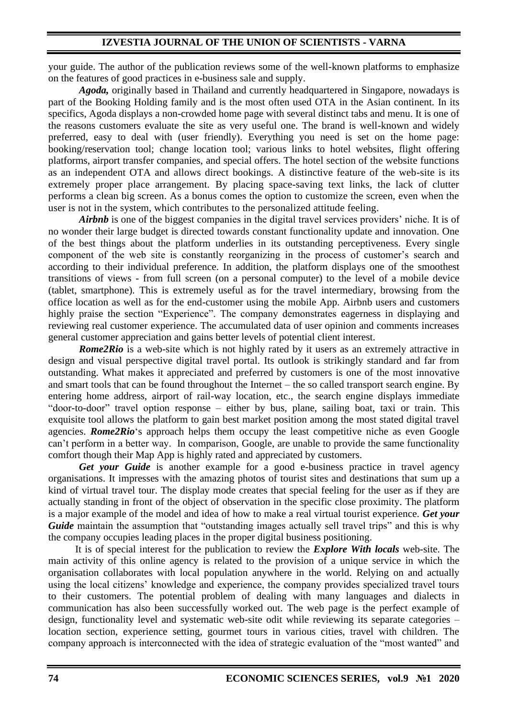your guide. The author of the publication reviews some of the well-known platforms to emphasize on the features of good practices in e-business sale and supply.

*Agoda,* originally based in Thailand and currently headquartered in Singapore, nowadays is part of the Booking Holding family and is the most often used OTA in the Asian continent. In its specifics, Agoda displays a non-crowded home page with several distinct tabs and menu. It is one of the reasons customers evaluate the site as very useful one. The brand is well-known and widely preferred, easy to deal with (user friendly). Everything you need is set on the home page: booking/reservation tool; change location tool; various links to hotel websites, flight offering platforms, airport transfer companies, and special offers. The hotel section of the website functions as an independent OTA and allows direct bookings. A distinctive feature of the web-site is its extremely proper place arrangement. By placing space-saving text links, the lack of clutter performs a clean big screen. As a bonus comes the option to customize the screen, even when the user is not in the system, which contributes to the personalized attitude feeling.

*Airbnb* is one of the biggest companies in the digital travel services providers' niche. It is of no wonder their large budget is directed towards constant functionality update and innovation. One of the best things about the platform underlies in its outstanding perceptiveness. Every single component of the web site is constantly reorganizing in the process of customer's search and according to their individual preference. In addition, the platform displays one of the smoothest transitions of views - from full screen (on a personal computer) to the level of a mobile device (tablet, smartphone). This is extremely useful as for the travel intermediary, browsing from the office location as well as for the end-customer using the mobile App. Airbnb users and customers highly praise the section "Experience". The company demonstrates eagerness in displaying and reviewing real customer experience. The accumulated data of user opinion and comments increases general customer appreciation and gains better levels of potential client interest.

*Rome2Rio* is a web-site which is not highly rated by it users as an extremely attractive in design and visual perspective digital travel portal. Its outlook is strikingly standard and far from outstanding. What makes it appreciated and preferred by customers is one of the most innovative and smart tools that can be found throughout the Internet – the so called transport search engine. By entering home address, airport of rail-way location, etc., the search engine displays immediate "door-to-door" travel option response – either by bus, plane, sailing boat, taxi or train. This exquisite tool allows the platform to gain best market position among the most stated digital travel agencies. *Rome2Rio*'s approach helps them occupy the least competitive niche as even Google can't perform in a better way. In comparison, Google, are unable to provide the same functionality comfort though their Map App is highly rated and appreciated by customers.

*Get your Guide* is another example for a good e-business practice in travel agency organisations. It impresses with the amazing photos of tourist sites and destinations that sum up a kind of virtual travel tour. The display mode creates that special feeling for the user as if they are actually standing in front of the object of observation in the specific close proximity. The platform is a major example of the model and idea of how to make a real virtual tourist experience. *Get your Guide* maintain the assumption that "outstanding images actually sell travel trips" and this is why the company occupies leading places in the proper digital business positioning.

It is of special interest for the publication to review the *Explore With locals* web-site. The main activity of this online agency is related to the provision of a unique service in which the organisation collaborates with local population anywhere in the world. Relying on and actually using the local citizens' knowledge and experience, the company provides specialized travel tours to their customers. The potential problem of dealing with many languages and dialects in communication has also been successfully worked out. The web page is the perfect example of design, functionality level and systematic web-site odit while reviewing its separate categories – location section, experience setting, gourmet tours in various cities, travel with children. The company approach is interconnected with the idea of strategic evaluation of the "most wanted" and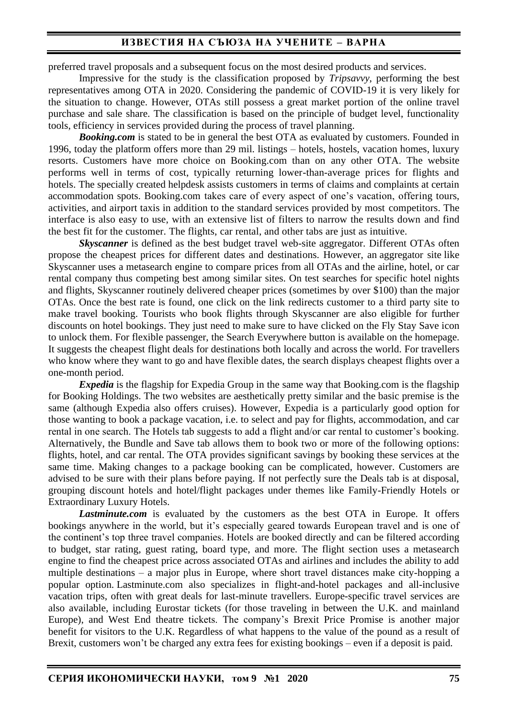## **ИЗВЕСТИЯ НА СЪЮЗА НА УЧЕНИТЕ – ВАРНА**

preferred travel proposals and a subsequent focus on the most desired products and services.

Impressive for the study is the classification proposed by *Tripsavvy*, performing the best representatives among OTA in 2020. Considering the pandemic of COVID-19 it is very likely for the situation to change. However, OTAs still possess a great market portion of the online travel purchase and sale share. The classification is based on the principle of budget level, functionality tools, efficiency in services provided during the process of travel planning.

**Booking.com** is stated to be in general the best OTA as evaluated by customers. Founded in 1996, today the platform offers more than 29 mil. listings – hotels, hostels, vacation homes, luxury resorts. Customers have more choice on Booking.com than on any other OTA. The website performs well in terms of cost, typically returning lower-than-average prices for flights and hotels. The specially created helpdesk assists customers in terms of claims and complaints at certain accommodation spots. Booking.com takes care of every aspect of one's vacation, offering tours, activities, and airport taxis in addition to the standard services provided by most competitors. The interface is also easy to use, with an extensive list of filters to narrow the results down and find the best fit for the customer. The flights, car rental, and other tabs are just as intuitive.

*Skyscanner* is defined as the best budget travel web-site aggregator. Different OTAs often propose the cheapest prices for different dates and destinations. However, an [aggregator site](https://www.tripsavvy.com/guide-to-travel-aggregators-3149865) like Skyscanner uses a metasearch engine to compare prices from all OTAs and the airline, hotel, or car rental company thus competing best among similar sites. On test searches for specific hotel nights and flights, Skyscanner routinely delivered cheaper prices (sometimes by over \$100) than the major OTAs. Once the best rate is found, one click on the link redirects customer to a third party site to make travel booking. Tourists who book flights through Skyscanner are also eligible for further discounts on hotel bookings. They just need to make sure to have clicked on the Fly Stay Save icon to unlock them. For flexible passenger, the Search Everywhere button is available on the homepage. It suggests the cheapest flight deals for destinations both locally and across the world. For travellers who know where they want to go and have flexible dates, the search displays cheapest flights over a one-month period.

*Expedia* is the flagship for Expedia Group in the same way that Booking.com is the flagship for Booking Holdings. The two websites are aesthetically pretty similar and the basic premise is the same (although Expedia also offers cruises). However, Expedia is a particularly good option for those wanting to book a package vacation, i.e. to select and pay for flights, accommodation, and car rental in one search. The Hotels tab suggests to add a flight and/or car rental to customer's booking. Alternatively, the Bundle and Save tab allows them to book two or more of the following options: flights, hotel, and car rental. The OTA provides significant savings by booking these services at the same time. Making changes to a package booking can be complicated, however. Customers are advised to be sure with their plans before paying. If not perfectly sure the Deals tab is at disposal, grouping discount hotels and hotel/flight packages under themes like Family-Friendly Hotels or Extraordinary Luxury Hotels.

*Lastminute.com* is evaluated by the customers as the best OTA in Europe. It offers bookings anywhere in the world, but it's especially geared towards European travel and is one of the continent's top three travel companies. Hotels are booked directly and can be filtered according to budget, star rating, guest rating, board type, and more. The flight section uses a metasearch engine to find the cheapest price across associated OTAs and airlines and includes the ability to add multiple destinations – a major plus in Europe, where short travel distances make city-hopping a popular option. Lastminute.com also specializes in flight-and-hotel packages and all-inclusive vacation trips, often with great deals for last-minute travellers. Europe-specific travel services are also available, including Eurostar tickets (for those traveling in between the U.K. and mainland Europe), and West End theatre tickets. The company's Brexit Price Promise is another major benefit for visitors to the U.K. Regardless of what happens to the value of the pound as a result of Brexit, customers won't be charged any extra fees for existing bookings – even if a deposit is paid.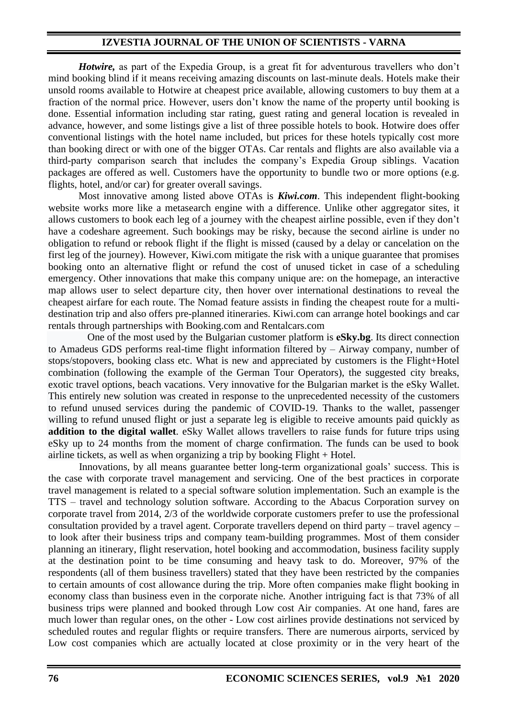### **IZVESTIA JOURNAL OF THE UNION OF SCIENTISTS - VARNA**

*Hotwire,* as part of the Expedia Group, is a great fit for adventurous travellers who don't mind booking blind if it means receiving amazing discounts on last-minute deals. Hotels make their unsold rooms available to Hotwire at cheapest price available, allowing customers to buy them at a fraction of the normal price. However, users don't know the name of the property until booking is done. Essential information including star rating, guest rating and general location is revealed in advance, however, and some listings give a list of three possible hotels to book. Hotwire does offer conventional listings with the hotel name included, but prices for these hotels typically cost more than booking direct or with one of the bigger OTAs. Car rentals and flights are also available via a third-party comparison search that includes the company's Expedia Group siblings. Vacation packages are offered as well. Customers have the opportunity to bundle two or more options (e.g. flights, hotel, and/or car) for greater overall savings.

Most innovative among listed above OTAs is *Kiwi.com*. This independent flight-booking website works more like a metasearch engine with a difference. Unlike other aggregator sites, it allows customers to book each leg of a journey with the cheapest airline possible, even if they don't have a codeshare agreement. Such bookings may be risky, because the second airline is under no obligation to refund or rebook flight if the flight is missed (caused by a delay or cancelation on the first leg of the journey). However, Kiwi.com mitigate the risk with a unique guarantee that promises booking onto an alternative flight or refund the cost of unused ticket in case of a scheduling emergency. Other innovations that make this company unique are: on the homepage, an interactive map allows user to select departure city, then hover over international destinations to reveal the cheapest airfare for each route. The Nomad feature assists in finding the cheapest route for a multidestination trip and also offers pre-planned itineraries. Kiwi.com can arrange hotel bookings and car rentals through partnerships with Booking.com and Rentalcars.com

One of the most used by the Bulgarian customer platform is **еSky.bg**. Its direct connection to Amadeus GDS performs real-time flight information filtered by – Airway company, number of stops/stopovers, booking class etc. What is new and appreciated by customers is the Flight+Hotel combination (following the example of the German Tour Operators), the suggested city breaks, exotic travel options, beach vacations. Very innovative for the Bulgarian market is the eSky Wallet. This entirely new solution was created in response to the unprecedented necessity of the customers to refund unused services during the pandemic of COVID-19. Thanks to the wallet, passenger willing to refund unused flight or just a separate leg is eligible to receive amounts paid quickly as **addition to the digital wallet**. eSky Wallet allows travellers to raise funds for future trips using eSky up to 24 months from the moment of charge confirmation. The funds can be used to book airline tickets, as well as when organizing a trip by booking Flight + Hotel.

Innovations, by all means guarantee better long-term organizational goals' success. This is the case with corporate travel management and servicing. One of the best practices in corporate travel management is related to a special software solution implementation. Such an example is the TTS – travel and technology solution software. According to the Abacus Corporation survey on corporate travel from 2014, 2/3 of the worldwide corporate customers prefer to use the professional consultation provided by a travel agent. Corporate travellers depend on third party – travel agency – to look after their business trips and company team-building programmes. Most of them consider planning an itinerary, flight reservation, hotel booking and accommodation, business facility supply at the destination point to be time consuming and heavy task to do. Moreover, 97% of the respondents (all of them business travellers) stated that they have been restricted by the companies to certain amounts of cost allowance during the trip. More often companies make flight booking in economy class than business even in the corporate niche. Another intriguing fact is that 73% of all business trips were planned and booked through Low cost Air companies. At one hand, fares are much lower than regular ones, on the other - Low cost airlines provide destinations not serviced by scheduled routes and regular flights or require transfers. There are numerous airports, serviced by Low cost companies which are actually located at close proximity or in the very heart of the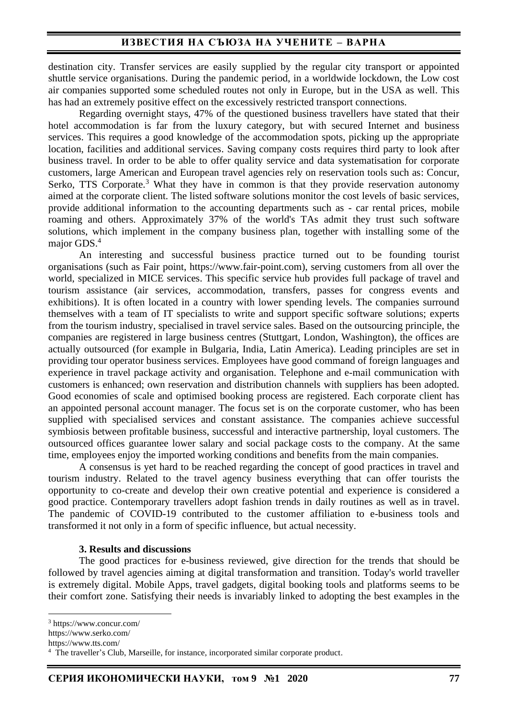destination city. Transfer services are easily supplied by the regular city transport or appointed shuttle service organisations. During the pandemic period, in a worldwide lockdown, the Low cost air companies supported some scheduled routes not only in Europe, but in the USA as well. This has had an extremely positive effect on the excessively restricted transport connections.

Regarding overnight stays, 47% of the questioned business travellers have stated that their hotel accommodation is far from the luxury category, but with secured Internet and business services. This requires a good knowledge of the accommodation spots, picking up the appropriate location, facilities and additional services. Saving company costs requires third party to look after business travel. In order to be able to offer quality service and data systematisation for corporate customers, large American and European travel agencies rely on reservation tools such as: Concur, Serko, TTS Corporate.<sup>3</sup> What they have in common is that they provide reservation autonomy aimed at the corporate client. The listed software solutions monitor the cost levels of basic services, provide additional information to the accounting departments such as - car rental prices, mobile roaming and others. Approximately 37% of the world's TAs admit they trust such software solutions, which implement in the company business plan, together with installing some of the major GDS. 4

An interesting and successful business practice turned out to be founding tourist organisations (such as Fair point, https://www.fair-point.com), serving customers from all over the world, specialized in MICE services. This specific service hub provides full package of travel and tourism assistance (air services, accommodation, transfers, passes for congress events and exhibitions). It is often located in a country with lower spending levels. The companies surround themselves with a team of IT specialists to write and support specific software solutions; experts from the tourism industry, specialised in travel service sales. Based on the outsourcing principle, the companies are registered in large business centres (Stuttgart, London, Washington), the offices are actually outsourced (for example in Bulgaria, India, Latin America). Leading principles are set in providing tour operator business services. Employees have good command of foreign languages and experience in travel package activity and organisation. Telephone and e-mail communication with customers is enhanced; own reservation and distribution channels with suppliers has been adopted. Good economies of scale and optimised booking process are registered. Each corporate client has an appointed personal account manager. The focus set is on the corporate customer, who has been supplied with specialised services and constant assistance. The companies achieve successful symbiosis between profitable business, successful and interactive partnership, loyal customers. The outsourced offices guarantee lower salary and social package costs to the company. At the same time, employees enjoy the imported working conditions and benefits from the main companies.

A consensus is yet hard to be reached regarding the concept of good practices in travel and tourism industry. Related to the travel agency business everything that can offer tourists the opportunity to co-create and develop their own creative potential and experience is considered a good practice. Contemporary travellers adopt fashion trends in daily routines as well as in travel. The pandemic of COVID-19 contributed to the customer affiliation to e-business tools and transformed it not only in a form of specific influence, but actual necessity.

#### **3. Results and discussions**

The good practices for e-business reviewed, give direction for the trends that should be followed by travel agencies aiming at digital transformation and transition. Today's world traveller is extremely digital. Mobile Apps, travel gadgets, digital booking tools and platforms seems to be their comfort zone. Satisfying their needs is invariably linked to adopting the best examples in the

<sup>3</sup> https://www.concur.com/

https://www.serko.com/

https://www.tts.com/

<sup>&</sup>lt;sup>4</sup> The traveller's Club, Marseille, for instance, incorporated similar corporate product.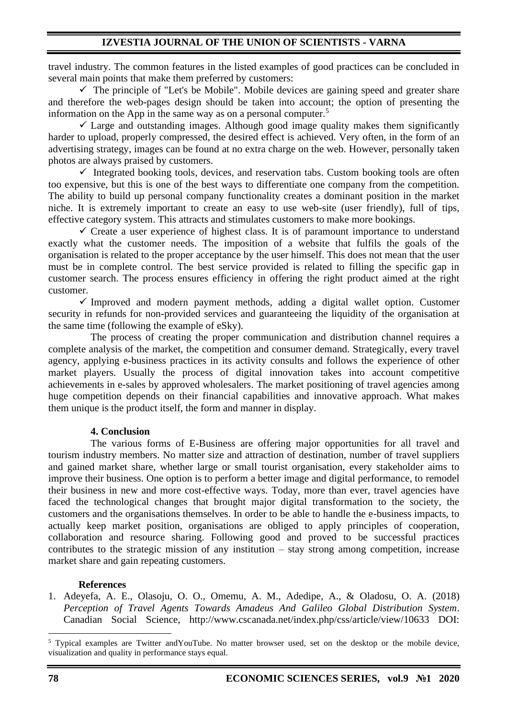travel industry. The common features in the listed examples of good practices can be concluded in several main points that make them preferred by customers:

 $\checkmark$  The principle of "Let's be Mobile". Mobile devices are gaining speed and greater share and therefore the web-pages design should be taken into account; the option of presenting the information on the App in the same way as on a personal computer.<sup>5</sup>

✓ Large and outstanding images. Although good image quality makes them significantly harder to upload, properly compressed, the desired effect is achieved. Very often, in the form of an advertising strategy, images can be found at no extra charge on the web. However, personally taken photos are always praised by customers.

 $\checkmark$  Integrated booking tools, devices, and reservation tabs. Custom booking tools are often too expensive, but this is one of the best ways to differentiate one company from the competition. The ability to build up personal company functionality creates a dominant position in the market niche. It is extremely important to create an easy to use web-site (user friendly), full of tips, effective category system. This attracts and stimulates customers to make more bookings.

 $\checkmark$  Create a user experience of highest class. It is of paramount importance to understand exactly what the customer needs. The imposition of a website that fulfils the goals of the organisation is related to the proper acceptance by the user himself. This does not mean that the user must be in complete control. The best service provided is related to filling the specific gap in customer search. The process ensures efficiency in offering the right product aimed at the right customer.

 $\checkmark$  Improved and modern payment methods, adding a digital wallet option. Customer security in refunds for non-provided services and guaranteeing the liquidity of the organisation at the same time (following the example of eSky).

The process of creating the proper communication and distribution channel requires a complete analysis of the market, the competition and consumer demand. Strategically, every travel agency, applying e-business practices in its activity consults and follows the experience of other market players. Usually the process of digital innovation takes into account competitive achievements in e-sales by approved wholesalers. The market positioning of travel agencies among huge competition depends on their financial capabilities and innovative approach. What makes them unique is the product itself, the form and manner in display.

## **4. Conclusion**

The various forms of E-Business are offering major opportunities for all travel and tourism industry members. No matter size and attraction of destination, number of travel suppliers and gained market share, whether large or small tourist organisation, every stakeholder aims to improve their business. One option is to perform a better image and digital performance, to remodel their business in new and more cost-effective ways. Today, more than ever, travel agencies have faced the technological changes that brought major digital transformation to the society, the customers and the organisations themselves. In order to be able to handle the e-business impacts, to actually keep market position, organisations are obliged to apply principles of cooperation, collaboration and resource sharing. Following good and proved to be successful practices contributes to the strategic mission of any institution – stay strong among competition, increase market share and gain repeating customers.

## **References**

1. Adeyefa, A. E., Olasoju, O. O., Omemu, A. M., Adedipe, A., & Oladosu, O. A. (2018) *Perception of Travel Agents Towards Amadeus And Galileo Global Distribution System*. Canadian Social Science, http://www.cscanada.net/index.php/css/article/view/10633 DOI:

<sup>5</sup> Typical examples are Twitter andYouTube. No matter browser used, set on the desktop or the mobile device, visualization and quality in performance stays equal.